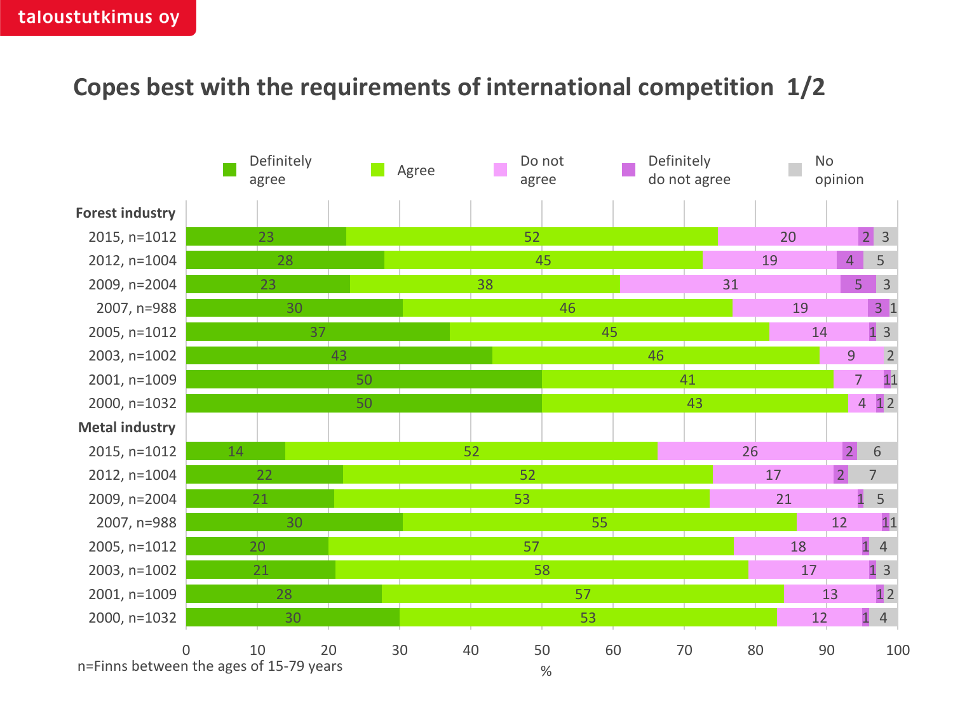## **Copes best with the requirements of international competition 1/2**